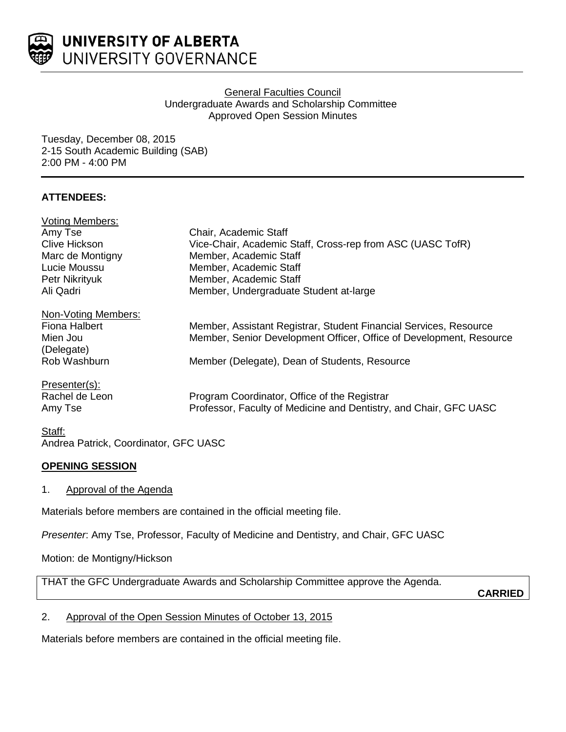

### General Faculties Council Undergraduate Awards and Scholarship Committee Approved Open Session Minutes

Tuesday, December 08, 2015 2-15 South Academic Building (SAB) 2:00 PM - 4:00 PM

# **ATTENDEES:**

| <b>Voting Members:</b> |                                                                     |
|------------------------|---------------------------------------------------------------------|
| Amy Tse                | Chair, Academic Staff                                               |
| <b>Clive Hickson</b>   | Vice-Chair, Academic Staff, Cross-rep from ASC (UASC TofR)          |
| Marc de Montigny       | Member, Academic Staff                                              |
| Lucie Moussu           | Member, Academic Staff                                              |
| Petr Nikrityuk         | Member, Academic Staff                                              |
| Ali Qadri              | Member, Undergraduate Student at-large                              |
| Non-Voting Members:    |                                                                     |
| <b>Fiona Halbert</b>   | Member, Assistant Registrar, Student Financial Services, Resource   |
| Mien Jou               | Member, Senior Development Officer, Office of Development, Resource |
| (Delegate)             |                                                                     |
| Rob Washburn           | Member (Delegate), Dean of Students, Resource                       |
| Presenter(s):          |                                                                     |
| Rachel de Leon         | Program Coordinator, Office of the Registrar                        |
| Amy Tse                | Professor, Faculty of Medicine and Dentistry, and Chair, GFC UASC   |
|                        |                                                                     |

#### Staff: Andrea Patrick, Coordinator, GFC UASC

# **OPENING SESSION**

1. Approval of the Agenda

Materials before members are contained in the official meeting file.

*Presenter*: Amy Tse, Professor, Faculty of Medicine and Dentistry, and Chair, GFC UASC

Motion: de Montigny/Hickson

THAT the GFC Undergraduate Awards and Scholarship Committee approve the Agenda.

**CARRIED**

# 2. Approval of the Open Session Minutes of October 13, 2015

Materials before members are contained in the official meeting file.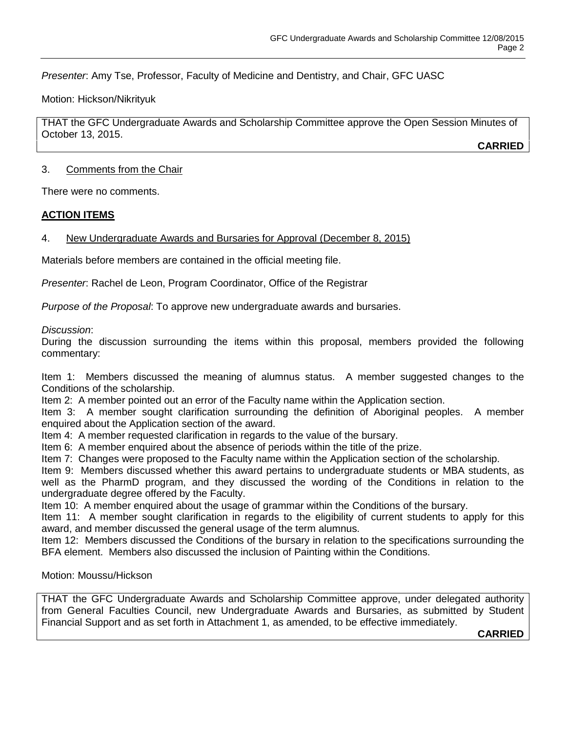*Presenter*: Amy Tse, Professor, Faculty of Medicine and Dentistry, and Chair, GFC UASC

Motion: Hickson/Nikrityuk

THAT the GFC Undergraduate Awards and Scholarship Committee approve the Open Session Minutes of October 13, 2015.

**CARRIED**

### 3. Comments from the Chair

There were no comments.

### **ACTION ITEMS**

### 4. New Undergraduate Awards and Bursaries for Approval (December 8, 2015)

Materials before members are contained in the official meeting file.

*Presenter*: Rachel de Leon, Program Coordinator, Office of the Registrar

*Purpose of the Proposal*: To approve new undergraduate awards and bursaries.

*Discussion*:

During the discussion surrounding the items within this proposal, members provided the following commentary:

Item 1: Members discussed the meaning of alumnus status. A member suggested changes to the Conditions of the scholarship.

Item 2: A member pointed out an error of the Faculty name within the Application section.

Item 3: A member sought clarification surrounding the definition of Aboriginal peoples. A member enquired about the Application section of the award.

Item 4: A member requested clarification in regards to the value of the bursary.

Item 6: A member enquired about the absence of periods within the title of the prize.

Item 7: Changes were proposed to the Faculty name within the Application section of the scholarship.

Item 9: Members discussed whether this award pertains to undergraduate students or MBA students, as well as the PharmD program, and they discussed the wording of the Conditions in relation to the undergraduate degree offered by the Faculty.

Item 10: A member enquired about the usage of grammar within the Conditions of the bursary.

Item 11: A member sought clarification in regards to the eligibility of current students to apply for this award, and member discussed the general usage of the term alumnus.

Item 12: Members discussed the Conditions of the bursary in relation to the specifications surrounding the BFA element. Members also discussed the inclusion of Painting within the Conditions.

Motion: Moussu/Hickson

THAT the GFC Undergraduate Awards and Scholarship Committee approve, under delegated authority from General Faculties Council, new Undergraduate Awards and Bursaries, as submitted by Student Financial Support and as set forth in Attachment 1, as amended, to be effective immediately.

**CARRIED**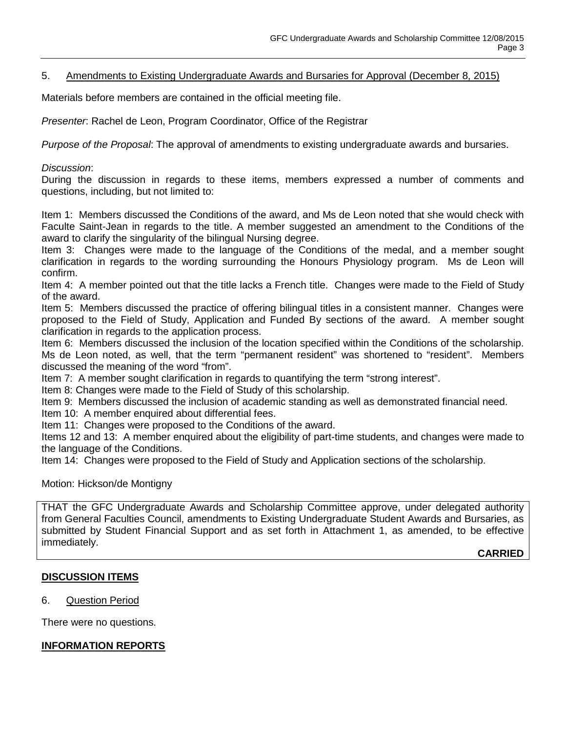## 5. Amendments to Existing Undergraduate Awards and Bursaries for Approval (December 8, 2015)

Materials before members are contained in the official meeting file.

*Presenter*: Rachel de Leon, Program Coordinator, Office of the Registrar

*Purpose of the Proposal*: The approval of amendments to existing undergraduate awards and bursaries.

### *Discussion*:

During the discussion in regards to these items, members expressed a number of comments and questions, including, but not limited to:

Item 1: Members discussed the Conditions of the award, and Ms de Leon noted that she would check with Faculte Saint-Jean in regards to the title. A member suggested an amendment to the Conditions of the award to clarify the singularity of the bilingual Nursing degree.

Item 3: Changes were made to the language of the Conditions of the medal, and a member sought clarification in regards to the wording surrounding the Honours Physiology program. Ms de Leon will confirm.

Item 4: A member pointed out that the title lacks a French title. Changes were made to the Field of Study of the award.

Item 5: Members discussed the practice of offering bilingual titles in a consistent manner. Changes were proposed to the Field of Study, Application and Funded By sections of the award. A member sought clarification in regards to the application process.

Item 6: Members discussed the inclusion of the location specified within the Conditions of the scholarship. Ms de Leon noted, as well, that the term "permanent resident" was shortened to "resident". Members discussed the meaning of the word "from".

Item 7: A member sought clarification in regards to quantifying the term "strong interest".

Item 8: Changes were made to the Field of Study of this scholarship.

Item 9: Members discussed the inclusion of academic standing as well as demonstrated financial need.

Item 10: A member enquired about differential fees.

Item 11: Changes were proposed to the Conditions of the award.

Items 12 and 13: A member enquired about the eligibility of part-time students, and changes were made to the language of the Conditions.

Item 14: Changes were proposed to the Field of Study and Application sections of the scholarship.

#### Motion: Hickson/de Montigny

THAT the GFC Undergraduate Awards and Scholarship Committee approve, under delegated authority from General Faculties Council, amendments to Existing Undergraduate Student Awards and Bursaries, as submitted by Student Financial Support and as set forth in Attachment 1, as amended, to be effective immediately.

**CARRIED**

### **DISCUSSION ITEMS**

#### 6. Question Period

There were no questions.

### **INFORMATION REPORTS**